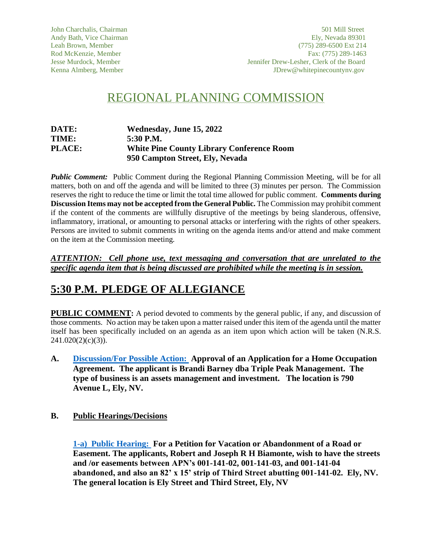# REGIONAL PLANNING COMMISSION

| DATE:         | Wednesday, June 15, 2022                         |
|---------------|--------------------------------------------------|
| TIME:         | 5:30 P.M.                                        |
| <b>PLACE:</b> | <b>White Pine County Library Conference Room</b> |
|               | 950 Campton Street, Ely, Nevada                  |

*Public Comment:* Public Comment during the Regional Planning Commission Meeting, will be for all matters, both on and off the agenda and will be limited to three (3) minutes per person. The Commission reserves the right to reduce the time or limit the total time allowed for public comment. **Comments during Discussion Items may not be accepted from the General Public.** The Commission may prohibit comment if the content of the comments are willfully disruptive of the meetings by being slanderous, offensive, inflammatory, irrational, or amounting to personal attacks or interfering with the rights of other speakers. Persons are invited to submit comments in writing on the agenda items and/or attend and make comment on the item at the Commission meeting.

*ATTENTION: Cell phone use, text messaging and conversation that are unrelated to the specific agenda item that is being discussed are prohibited while the meeting is in session.* 

## **5:30 P.M. PLEDGE OF ALLEGIANCE**

**PUBLIC COMMENT:** A period devoted to comments by the general public, if any, and discussion of those comments. No action may be taken upon a matter raised under this item of the agenda until the matter itself has been specifically included on an agenda as an item upon which action will be taken (N.R.S.  $241.020(2)(c)(3)$ ).

**A. [Discussion/For Possible Action:](https://www.whitepinecounty.net/DocumentCenter/View/8142/RPC-Agenda-Item-A-61522) Approval of an Application for a Home Occupation Agreement. The applicant is Brandi Barney dba Triple Peak Management. The type of business is an assets management and investment. The location is 790 Avenue L, Ely, NV.**

## **B. Public Hearings/Decisions**

**[1-a\) Public Hearing:](https://www.whitepinecounty.net/DocumentCenter/View/8143/RPC-Agenda-Item-B-1a-and-1b) For a Petition for Vacation or Abandonment of a Road or Easement. The applicants, Robert and Joseph R H Biamonte, wish to have the streets and /or easements between APN's 001-141-02, 001-141-03, and 001-141-04 abandoned, and also an 82' x 15' strip of Third Street abutting 001-141-02. Ely, NV. The general location is Ely Street and Third Street, Ely, NV**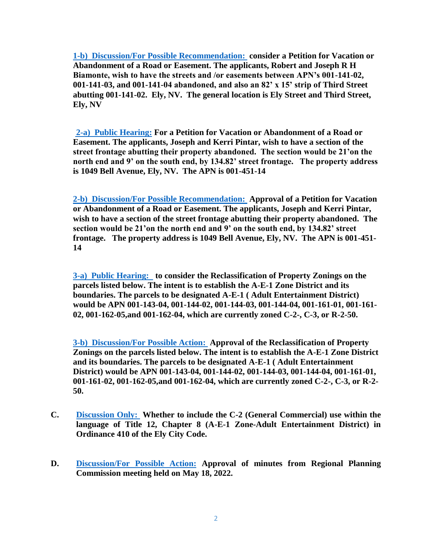**[1-b\) Discussion/For Possible Recommendation:](https://www.whitepinecounty.net/DocumentCenter/View/8143/RPC-Agenda-Item-B-1a-and-1b) consider a Petition for Vacation or Abandonment of a Road or Easement. The applicants, Robert and Joseph R H Biamonte, wish to have the streets and /or easements between APN's 001-141-02, 001-141-03, and 001-141-04 abandoned, and also an 82' x 15' strip of Third Street abutting 001-141-02. Ely, NV. The general location is Ely Street and Third Street, Ely, NV**

**[2-a\) Public Hearing:](https://www.whitepinecounty.net/DocumentCenter/View/8144/RPC-Agenda-Item-B-2a-and-2b--61522) For a Petition for Vacation or Abandonment of a Road or Easement. The applicants, Joseph and Kerri Pintar, wish to have a section of the street frontage abutting their property abandoned. The section would be 21'on the north end and 9' on the south end, by 134.82' street frontage. The property address is 1049 Bell Avenue, Ely, NV. The APN is 001-451-14**

**[2-b\) Discussion/For Possible Recommendation:](https://www.whitepinecounty.net/DocumentCenter/View/8144/RPC-Agenda-Item-B-2a-and-2b--61522) Approval of a Petition for Vacation or Abandonment of a Road or Easement. The applicants, Joseph and Kerri Pintar, wish to have a section of the street frontage abutting their property abandoned. The section would be 21'on the north end and 9' on the south end, by 134.82' street frontage. The property address is 1049 Bell Avenue, Ely, NV. The APN is 001-451- 14**

**[3-a\) Public Hearing:](https://www.whitepinecounty.net/DocumentCenter/View/8145/RPC-Agenda-Item-B-3a-and-3b) to consider the Reclassification of Property Zonings on the parcels listed below. The intent is to establish the A-E-1 Zone District and its boundaries. The parcels to be designated A-E-1 ( Adult Entertainment District) would be APN 001-143-04, 001-144-02, 001-144-03, 001-144-04, 001-161-01, 001-161- 02, 001-162-05,and 001-162-04, which are currently zoned C-2-, C-3, or R-2-50.**

**[3-b\) Discussion/For Possible Action:](https://www.whitepinecounty.net/DocumentCenter/View/8145/RPC-Agenda-Item-B-3a-and-3b) Approval of the Reclassification of Property Zonings on the parcels listed below. The intent is to establish the A-E-1 Zone District and its boundaries. The parcels to be designated A-E-1 ( Adult Entertainment District) would be APN 001-143-04, 001-144-02, 001-144-03, 001-144-04, 001-161-01, 001-161-02, 001-162-05,and 001-162-04, which are currently zoned C-2-, C-3, or R-2- 50.**

- **C. [Discussion Only:](https://www.whitepinecounty.net/DocumentCenter/View/8146/RPC-Agenda-Item-C--61522) Whether to include the C-2 (General Commercial) use within the language of Title 12, Chapter 8 (A-E-1 Zone-Adult Entertainment District) in Ordinance 410 of the Ely City Code.**
- **D. Discussion/For [Possible Action:](https://www.whitepinecounty.net/DocumentCenter/View/8147/RPC-Agenda-Item-D-61522) Approval of minutes from Regional Planning Commission meeting held on May 18, 2022.**